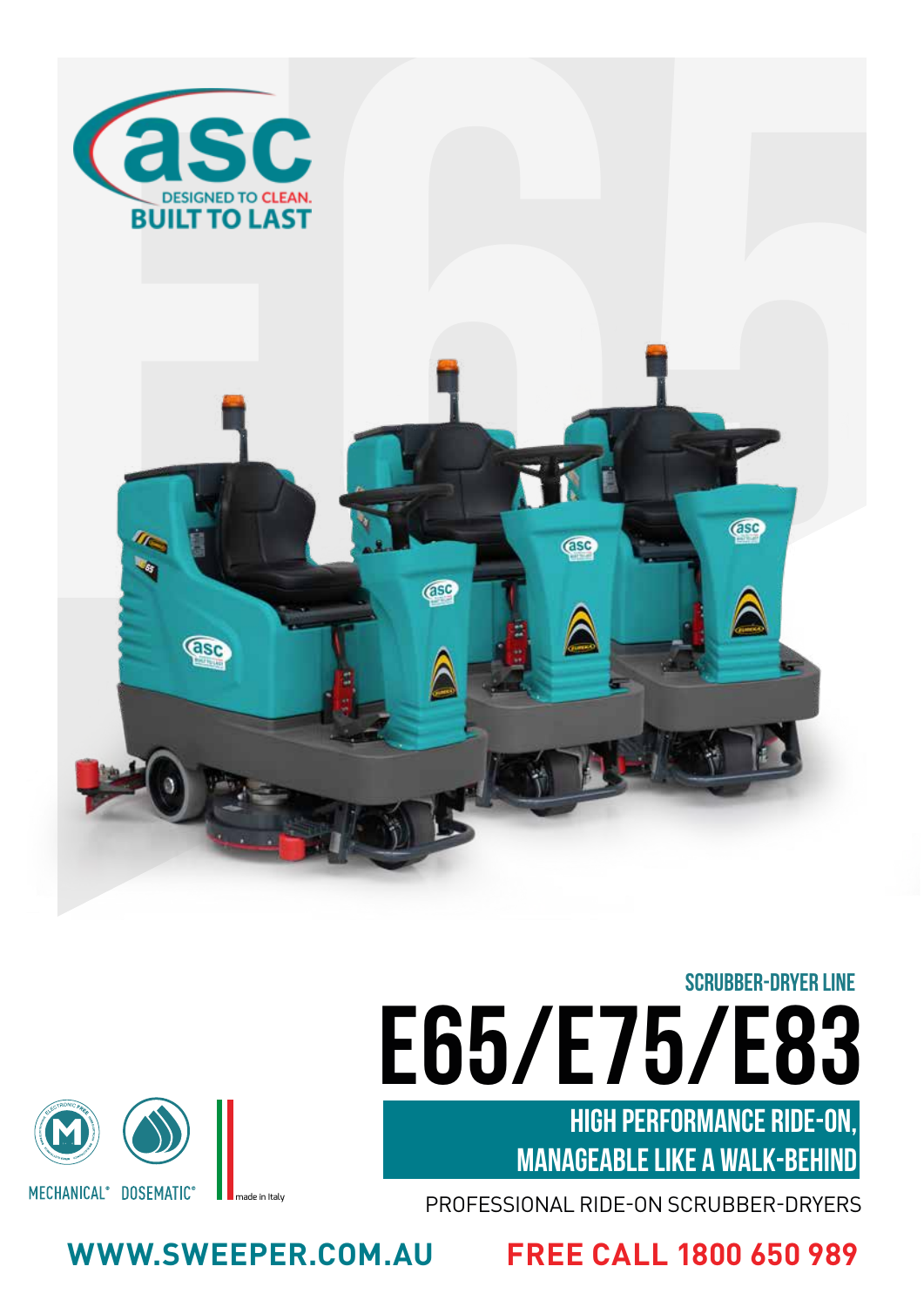

# **E65/E75/E83** SCRUBBER-DRYER LINE

HIGH PERFORMANCE RIDE-ON, MANAGEABLE LIKE A WALK-BEHIND

PROFESSIONAL RIDE-ON SCRUBBER-DRYERS

**WWW.SWEEPER.COM.AU FREE CALL 1800 650 989**

made in Italy

MECHANICAL<sup>®</sup> DOSEMATIC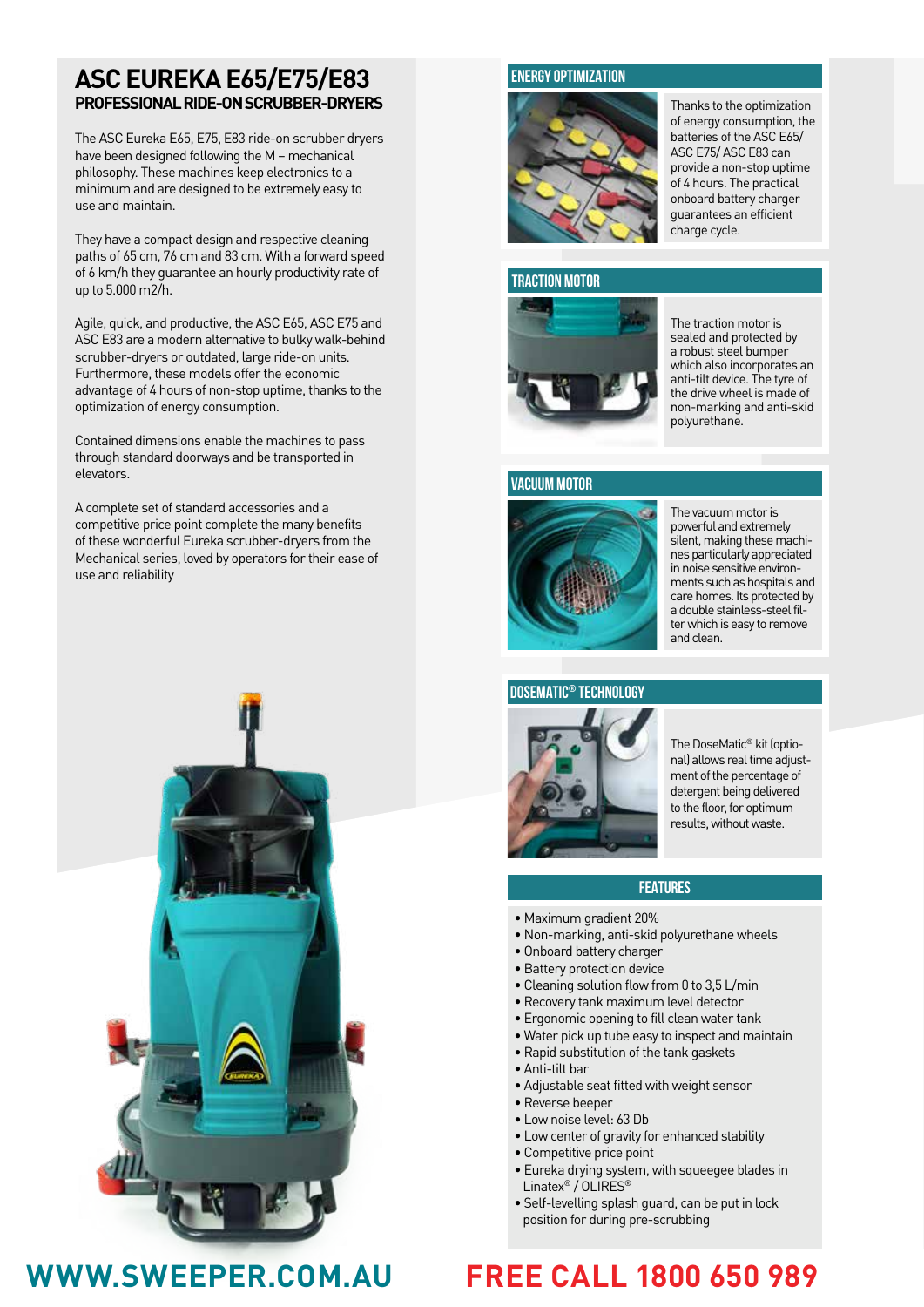## **ASC EUREKA E65/E75/E83 PROFESSIONAL RIDE-ON SCRUBBER-DRYERS**

The ASC Eureka E65, E75, E83 ride-on scrubber dryers have been designed following the M – mechanical philosophy. These machines keep electronics to a minimum and are designed to be extremely easy to use and maintain.

They have a compact design and respective cleaning paths of 65 cm, 76 cm and 83 cm. With a forward speed of 6 km/h they guarantee an hourly productivity rate of up to 5.000 m2/h.

Agile, quick, and productive, the ASC E65, ASC E75 and ASC E83 are a modern alternative to bulky walk-behind scrubber-dryers or outdated, large ride-on units. Furthermore, these models offer the economic advantage of 4 hours of non-stop uptime, thanks to the optimization of energy consumption.

Contained dimensions enable the machines to pass through standard doorways and be transported in elevators.

A complete set of standard accessories and a competitive price point complete the many benefits of these wonderful Eureka scrubber-dryers from the Mechanical series, loved by operators for their ease of use and reliability



## **ENERGY OPTIMIZATION**



Thanks to the optimization of energy consumption, the batteries of the ASC E65/ ASC E75/ ASC E83 can provide a non-stop uptime of 4 hours. The practical onboard battery charger guarantees an efficient charge cycle.

## **TRACTION MOTOR**



The traction motor is sealed and protected by a robust steel bumper which also incorporates an anti-tilt device. The tyre of the drive wheel is made of non-marking and anti-skid polyurethane.

## **VACUUM MOTOR**



The vacuum motor is powerful and extremely silent, making these machines particularly appreciated in noise sensitive environments such as hospitals and care homes. Its protected by a double stainless-steel filter which is easy to remove and clean.

### **DOSEMATIC® TECHNOLOGY**



The DoseMatic® kit (optional) allows real time adjustment of the percentage of detergent being delivered to the floor, for optimum results, without waste.

## **FEATURES**

- Maximum gradient 20%
- Non-marking, anti-skid polyurethane wheels
- Onboard battery charger
- Battery protection device
- Cleaning solution flow from 0 to 3,5 L/min
- Recovery tank maximum level detector
- Ergonomic opening to fill clean water tank
- Water pick up tube easy to inspect and maintain
- Rapid substitution of the tank gaskets
- Anti-tilt bar
- Adjustable seat fitted with weight sensor
- Reverse beeper
- Low noise level: 63 Db
- Low center of gravity for enhanced stability
- Competitive price point
- Eureka drying system, with squeegee blades in Linatex® / OLIRES®
- Self-levelling splash guard, can be put in lock position for during pre-scrubbing

## **WWW.SWEEPER.COM.AU FREE CALL 1800 650 989**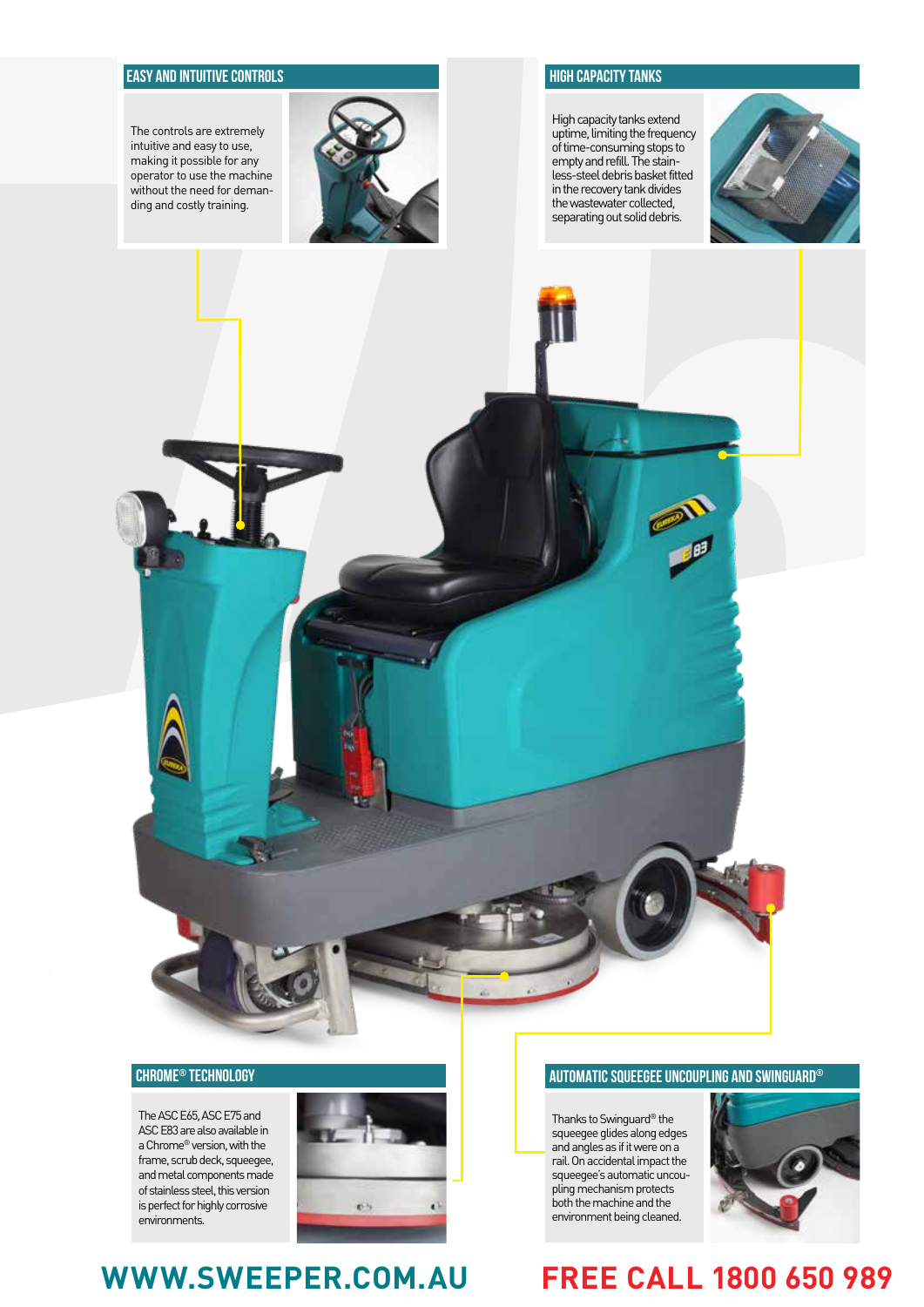## **EASY AND INTUITIVE CONTROLS**

The controls are extremely intuitive and easy to use, making it possible for any operator to use the machine without the need for demanding and costly training.



## **HIGH CAPACITY TANKS**

High capacity tanks extend uptime, limiting the frequency of time-consuming stops to empty and refill. The stainless-steel debris basket fitted in the recovery tank divides the wastewater collected, separating out solid debris.





The ASC E65, ASC E75 and ASC E83 are also available in a Chrome® version, with the frame, scrub deck, squeegee, and metal components made of stainless steel, this version is perfect for highly corrosive environments.



## **WWW.SWEEPER.COM.AU FREE CALL 1800 650 989**

## **CHROME® TECHNOLOGY AUTOMATIC SQUEEGEE UNCOUPLING AND SWINGUARD®**

Thanks to Swinguard® the squeegee glides along edges and angles as if it were on a rail. On accidental impact the squeegee's automatic uncoupling mechanism protects both the machine and the environment being cleaned.